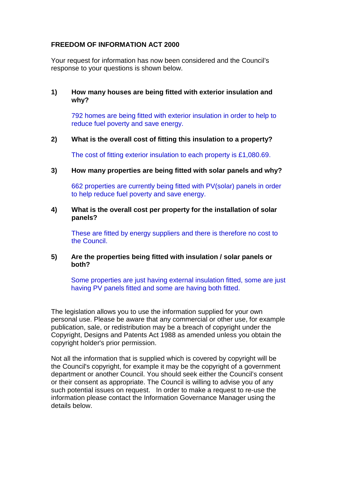# **FREEDOM OF INFORMATION ACT 2000**

Your request for information has now been considered and the Council's response to your questions is shown below.

## **1) How many houses are being fitted with exterior insulation and why?**

792 homes are being fitted with exterior insulation in order to help to reduce fuel poverty and save energy.

### **2) What is the overall cost of fitting this insulation to a property?**

The cost of fitting exterior insulation to each property is £1,080.69.

**3) How many properties are being fitted with solar panels and why?**

662 properties are currently being fitted with PV(solar) panels in order to help reduce fuel poverty and save energy.

### **4) What is the overall cost per property for the installation of solar panels?**

These are fitted by energy suppliers and there is therefore no cost to the Council.

### **5) Are the properties being fitted with insulation / solar panels or both?**

Some properties are just having external insulation fitted, some are just having PV panels fitted and some are having both fitted.

The legislation allows you to use the information supplied for your own personal use. Please be aware that any commercial or other use, for example publication, sale, or redistribution may be a breach of copyright under the Copyright, Designs and Patents Act 1988 as amended unless you obtain the copyright holder's prior permission.

Not all the information that is supplied which is covered by copyright will be the Council's copyright, for example it may be the copyright of a government department or another Council. You should seek either the Council's consent or their consent as appropriate. The Council is willing to advise you of any such potential issues on request. In order to make a request to re-use the information please contact the Information Governance Manager using the details below.